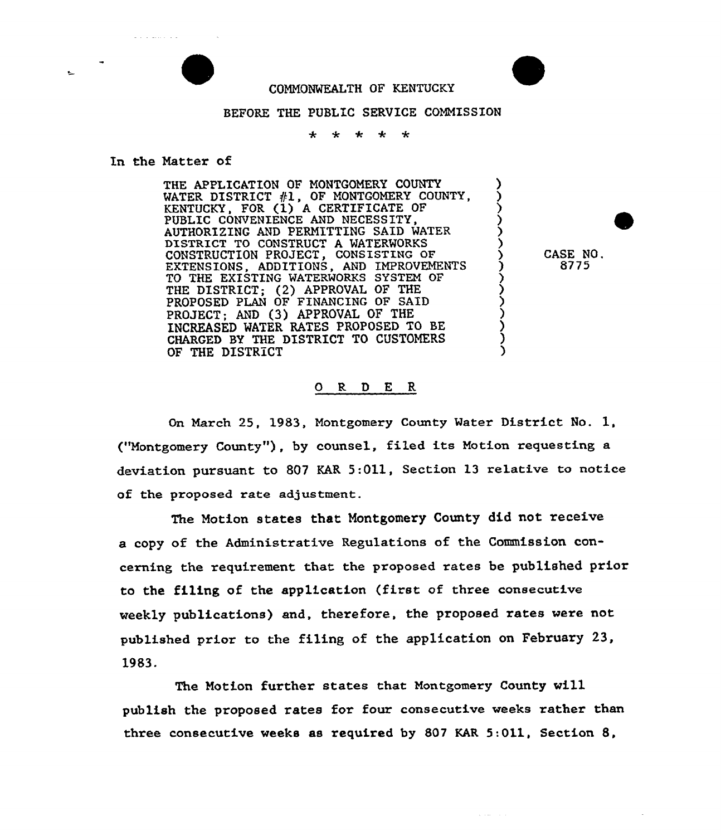## COMMONWEALTH OF KENTUCKY

## BEFORE THE PUBLIC SERVICE COMMISSION

 $\ddot{\bullet}$ ÷  $\star$  $\star$  $\star$ 

## In the Natter of

الديان بالمتداد والدائر

THE APPLICATION OF MONTGOMERY COUNTY WATER DISTRICT  $#1$ , OF MONTGOMERY COUNTY, KENTUCKY, FOR (1) <sup>A</sup> CERTIFICATE OF PUBLIC CONVENIENCE AND NECESSITY, AUTHORIZING AND PERMITTING SAID MATER DISTRICT TO CONSTRUCT A MATERMORKS CONSTRUCTION PROJECT, CONSISTING aF EXTENSIONS, ADDITIONS, AND IMPROVEMENTS TO THE EXISTING MATERMORKS SYSTEM OF THE DISTRICT; {2) APPROVAL OF THE PROPOSED PLAN OF FINANCING OF SAID PROJECT; AND {3) APPROVAL OF THE INCREASED MATER RATES PROPOSED TO BE CHARGED BY THE DISTRICT TO CUSTOMERS OF THE DISTRICT

CASE NO. 8775

) ) ) )

> )  $\boldsymbol{\mathfrak{z}}$ ) ز<br>} ز<br>> ) ) ) )

and the control of

## 0 R <sup>D</sup> E R

On March 25, 1983, Montgomery County Mater District No. 1, ("Montgomery County"), by counsel, filed its Motion requesting a deviation pursuant to 807 KAR  $5:011$ , Section 13 relative to notice of the proposed rate adjustment.

The Motion states that Montgomery County did not receive a copy of the Administrative Regulations of the Commission concerning the requirement that the proposed rates be published prior to the filing of the application (first of three consecutive weekly publications) and, therefore, the proposed rates vere not published prior to the filing of the application on February 23, 1983.

The Notion further states that Montgomery County vill publish the proposed rates for four consecutive weeks rather than three consecutive weeks as required by 807 KAR 5:011, Section 8,